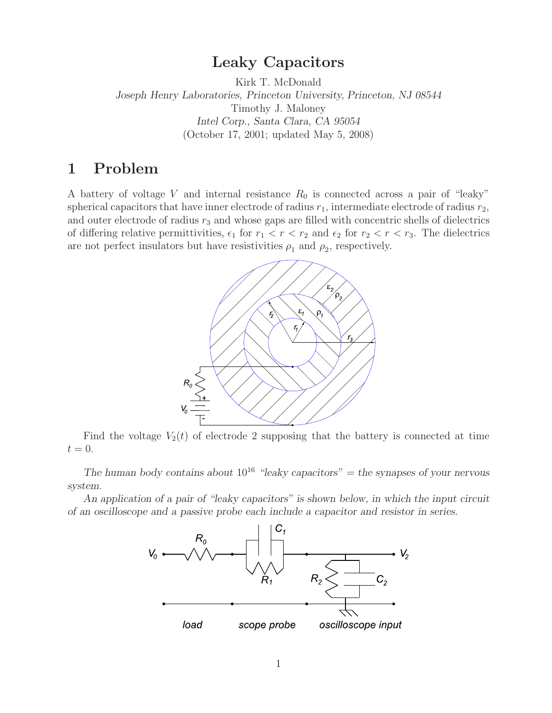# **Leaky Capacitors**

Kirk T. McDonald *Joseph Henry Laboratories, Princeton University, Princeton, NJ 08544* Timothy J. Maloney *Intel Corp., Santa Clara, CA 95054* (October 17, 2001; updated May 5, 2008)

# **1 Problem**

A battery of voltage V and internal resistance  $R_0$  is connected across a pair of "leaky" spherical capacitors that have inner electrode of radius  $r_1$ , intermediate electrode of radius  $r_2$ , and outer electrode of radius  $r_3$  and whose gaps are filled with concentric shells of dielectrics of differing relative permittivities,  $\epsilon_1$  for  $r_1 < r < r_2$  and  $\epsilon_2$  for  $r_2 < r < r_3$ . The dielectrics are not perfect insulators but have resistivities  $\rho_1$  and  $\rho_2$ , respectively.



Find the voltage  $V_2(t)$  of electrode 2 supposing that the battery is connected at time  $t=0.$ 

*The human body contains about*  $10^{16}$  *"leaky capacitors"* = the synapses of your nervous *system.*

*An application of a pair of "leaky capacitors" is shown below, in which the input circuit of an oscilloscope and a passive probe each include a capacitor and resistor in series.*

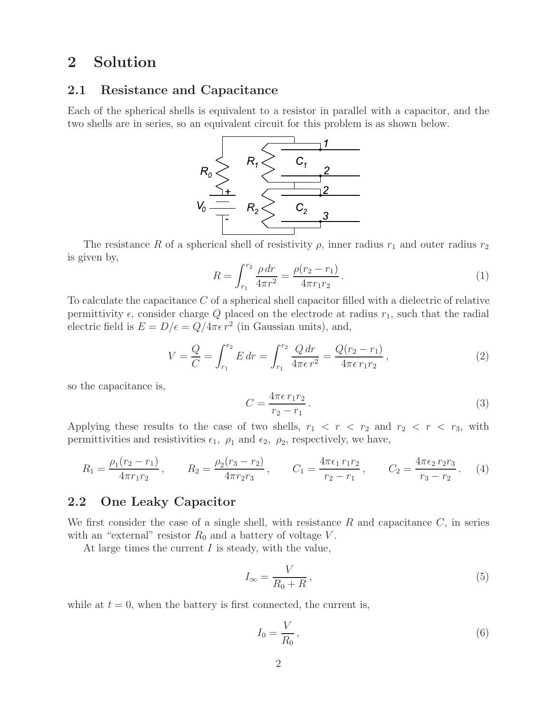# **2 Solution**

### **2.1 Resistance and Capacitance**

Each of the spherical shells is equivalent to a resistor in parallel with a capacitor, and the two shells are in series, so an equivalent circuit for this problem is as shown below.



The resistance R of a spherical shell of resistivity  $\rho$ , inner radius  $r_1$  and outer radius  $r_2$ is given by,

$$
R = \int_{r_1}^{r_2} \frac{\rho \, dr}{4\pi r^2} = \frac{\rho(r_2 - r_1)}{4\pi r_1 r_2} \,. \tag{1}
$$

To calculate the capacitance C of a spherical shell capacitor filled with a dielectric of relative permittivity  $\epsilon$ , consider charge Q placed on the electrode at radius  $r_1$ , such that the radial electric field is  $E = D/\epsilon = Q/4\pi\epsilon r^2$  (in Gaussian units), and,

$$
V = \frac{Q}{C} = \int_{r_1}^{r_2} E dr = \int_{r_1}^{r_2} \frac{Q dr}{4\pi \epsilon r^2} = \frac{Q(r_2 - r_1)}{4\pi \epsilon r_1 r_2},
$$
(2)

so the capacitance is,

$$
C = \frac{4\pi\epsilon\,r_1r_2}{r_2 - r_1}.\tag{3}
$$

Applying these results to the case of two shells,  $r_1 < r < r_2$  and  $r_2 < r < r_3$ , with permittivities and resistivities  $\epsilon_1$ ,  $\rho_1$  and  $\epsilon_2$ ,  $\rho_2$ , respectively, we have,

$$
R_1 = \frac{\rho_1(r_2 - r_1)}{4\pi r_1 r_2}, \qquad R_2 = \frac{\rho_2(r_3 - r_2)}{4\pi r_2 r_3}, \qquad C_1 = \frac{4\pi \epsilon_1 r_1 r_2}{r_2 - r_1}, \qquad C_2 = \frac{4\pi \epsilon_2 r_2 r_3}{r_3 - r_2}.
$$
 (4)

## **2.2 One Leaky Capacitor**

We first consider the case of a single shell, with resistance  $R$  and capacitance  $C$ , in series with an "external" resistor  $R_0$  and a battery of voltage V.

At large times the current  $I$  is steady, with the value,

$$
I_{\infty} = \frac{V}{R_0 + R},\tag{5}
$$

while at  $t = 0$ , when the battery is first connected, the current is,

$$
I_0 = \frac{V}{R_0},\tag{6}
$$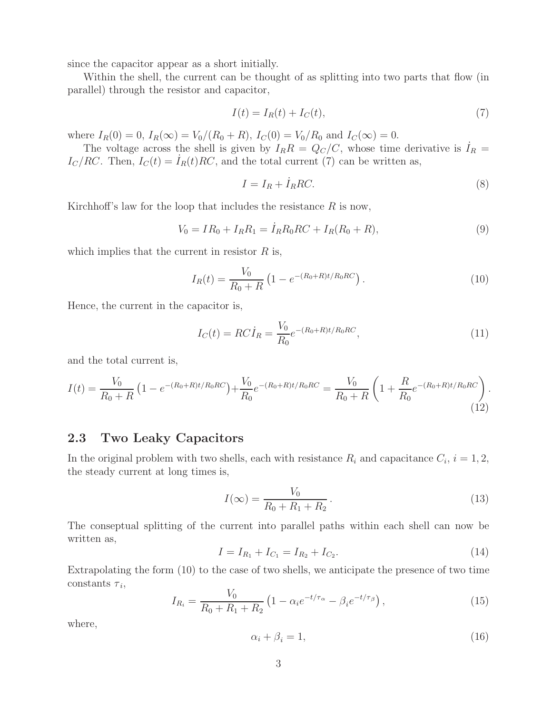since the capacitor appear as a short initially.

Within the shell, the current can be thought of as splitting into two parts that flow (in parallel) through the resistor and capacitor,

$$
I(t) = I_R(t) + I_C(t),\tag{7}
$$

where  $I_R(0) = 0$ ,  $I_R(\infty) = V_0/(R_0 + R)$ ,  $I_C(0) = V_0/R_0$  and  $I_C(\infty) = 0$ .

The voltage across the shell is given by  $I_R R = Q_C/C$ , whose time derivative is  $I_R =$  $I_c/RC$ . Then,  $I_c(t) = I_R(t)RC$ , and the total current (7) can be written as,

$$
I = I_R + \dot{I}_R RC.
$$
\n<sup>(8)</sup>

Kirchhoff's law for the loop that includes the resistance  $R$  is now,

$$
V_0 = IR_0 + I_R R_1 = \dot{I}_R R_0 R C + I_R (R_0 + R), \qquad (9)
$$

which implies that the current in resistor  $R$  is,

$$
I_R(t) = \frac{V_0}{R_0 + R} \left( 1 - e^{-(R_0 + R)t/R_0 RC} \right). \tag{10}
$$

Hence, the current in the capacitor is,

$$
I_C(t) = R C \dot{I}_R = \frac{V_0}{R_0} e^{-(R_0 + R)t/R_0 RC}, \qquad (11)
$$

and the total current is,

$$
I(t) = \frac{V_0}{R_0 + R} \left( 1 - e^{-(R_0 + R)t/R_0 RC} \right) + \frac{V_0}{R_0} e^{-(R_0 + R)t/R_0 RC} = \frac{V_0}{R_0 + R} \left( 1 + \frac{R}{R_0} e^{-(R_0 + R)t/R_0 RC} \right). \tag{12}
$$

## **2.3 Two Leaky Capacitors**

In the original problem with two shells, each with resistance  $R_i$  and capacitance  $C_i$ ,  $i = 1, 2$ , the steady current at long times is,

$$
I(\infty) = \frac{V_0}{R_0 + R_1 + R_2}.
$$
\n(13)

The conseptual splitting of the current into parallel paths within each shell can now be written as,

$$
I = I_{R_1} + I_{C_1} = I_{R_2} + I_{C_2}.
$$
\n(14)

Extrapolating the form (10) to the case of two shells, we anticipate the presence of two time constants  $\tau_i$ ,

$$
I_{R_i} = \frac{V_0}{R_0 + R_1 + R_2} \left( 1 - \alpha_i e^{-t/\tau_\alpha} - \beta_i e^{-t/\tau_\beta} \right),\tag{15}
$$

where,

$$
\alpha_i + \beta_i = 1,\tag{16}
$$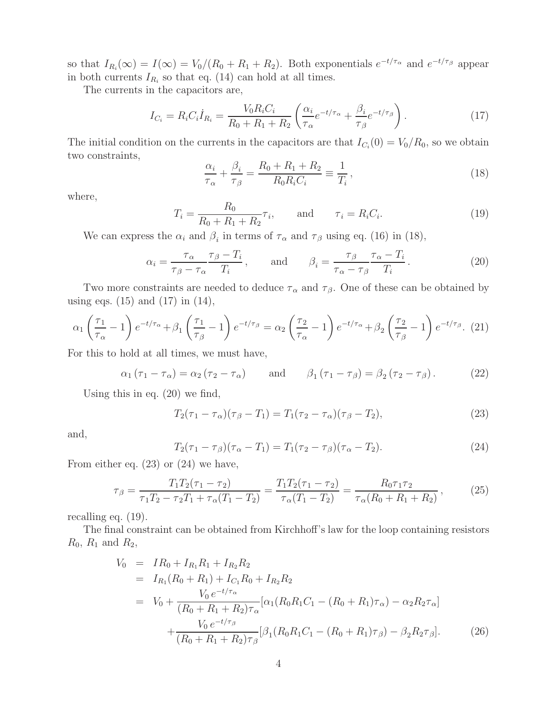so that  $I_{R_i}(\infty) = I(\infty) = V_0/(R_0 + R_1 + R_2)$ . Both exponentials  $e^{-t/\tau_\alpha}$  and  $e^{-t/\tau_\beta}$  appear in both currents  $I_{R_i}$  so that eq. (14) can hold at all times.

The currents in the capacitors are,

$$
I_{C_i} = R_i C_i \dot{I}_{R_i} = \frac{V_0 R_i C_i}{R_0 + R_1 + R_2} \left( \frac{\alpha_i}{\tau_\alpha} e^{-t/\tau_\alpha} + \frac{\beta_i}{\tau_\beta} e^{-t/\tau_\beta} \right).
$$
 (17)

The initial condition on the currents in the capacitors are that  $I_{C_i}(0) = V_0/R_0$ , so we obtain two constraints,

$$
\frac{\alpha_i}{\tau_\alpha} + \frac{\beta_i}{\tau_\beta} = \frac{R_0 + R_1 + R_2}{R_0 R_i C_i} \equiv \frac{1}{T_i},\tag{18}
$$

where,

$$
T_i = \frac{R_0}{R_0 + R_1 + R_2} \tau_i, \quad \text{and} \quad \tau_i = R_i C_i.
$$
 (19)

We can express the  $\alpha_i$  and  $\beta_i$  in terms of  $\tau_\alpha$  and  $\tau_\beta$  using eq. (16) in (18),

$$
\alpha_i = \frac{\tau_\alpha}{\tau_\beta - \tau_\alpha} \frac{\tau_\beta - T_i}{T_i}, \quad \text{and} \quad \beta_i = \frac{\tau_\beta}{\tau_\alpha - \tau_\beta} \frac{\tau_\alpha - T_i}{T_i}. \tag{20}
$$

Two more constraints are needed to deduce  $\tau_{\alpha}$  and  $\tau_{\beta}$ . One of these can be obtained by using eqs.  $(15)$  and  $(17)$  in  $(14)$ ,

$$
\alpha_1 \left(\frac{\tau_1}{\tau_\alpha} - 1\right) e^{-t/\tau_\alpha} + \beta_1 \left(\frac{\tau_1}{\tau_\beta} - 1\right) e^{-t/\tau_\beta} = \alpha_2 \left(\frac{\tau_2}{\tau_\alpha} - 1\right) e^{-t/\tau_\alpha} + \beta_2 \left(\frac{\tau_2}{\tau_\beta} - 1\right) e^{-t/\tau_\beta}.
$$
 (21)

For this to hold at all times, we must have,

$$
\alpha_1 (\tau_1 - \tau_\alpha) = \alpha_2 (\tau_2 - \tau_\alpha) \quad \text{and} \quad \beta_1 (\tau_1 - \tau_\beta) = \beta_2 (\tau_2 - \tau_\beta). \quad (22)
$$

Using this in eq. (20) we find,

$$
T_2(\tau_1 - \tau_\alpha)(\tau_\beta - T_1) = T_1(\tau_2 - \tau_\alpha)(\tau_\beta - T_2),
$$
\n(23)

and,

$$
T_2(\tau_1 - \tau_\beta)(\tau_\alpha - T_1) = T_1(\tau_2 - \tau_\beta)(\tau_\alpha - T_2).
$$
 (24)

From either eq. (23) or (24) we have,

$$
\tau_{\beta} = \frac{T_1 T_2 (\tau_1 - \tau_2)}{\tau_1 T_2 - \tau_2 T_1 + \tau_{\alpha} (T_1 - T_2)} = \frac{T_1 T_2 (\tau_1 - \tau_2)}{\tau_{\alpha} (T_1 - T_2)} = \frac{R_0 \tau_1 \tau_2}{\tau_{\alpha} (R_0 + R_1 + R_2)},
$$
(25)

recalling eq. (19).

The final constraint can be obtained from Kirchhoff's law for the loop containing resistors  $R_0$ ,  $R_1$  and  $R_2$ ,

$$
V_0 = IR_0 + I_{R_1}R_1 + I_{R_2}R_2
$$
  
\n
$$
= I_{R_1}(R_0 + R_1) + I_{C_1}R_0 + I_{R_2}R_2
$$
  
\n
$$
= V_0 + \frac{V_0 e^{-t/\tau_\alpha}}{(R_0 + R_1 + R_2)\tau_\alpha} [\alpha_1 (R_0 R_1 C_1 - (R_0 + R_1)\tau_\alpha) - \alpha_2 R_2 \tau_\alpha]
$$
  
\n
$$
+ \frac{V_0 e^{-t/\tau_\beta}}{(R_0 + R_1 + R_2)\tau_\beta} [\beta_1 (R_0 R_1 C_1 - (R_0 + R_1)\tau_\beta) - \beta_2 R_2 \tau_\beta].
$$
 (26)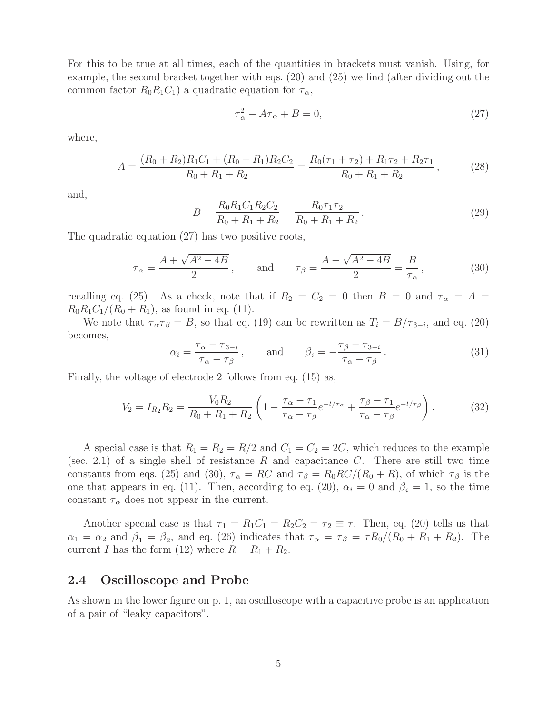For this to be true at all times, each of the quantities in brackets must vanish. Using, for example, the second bracket together with eqs. (20) and (25) we find (after dividing out the common factor  $R_0R_1C_1$ ) a quadratic equation for  $\tau_{\alpha}$ ,

$$
\tau_{\alpha}^2 - A\tau_{\alpha} + B = 0,\tag{27}
$$

where,

$$
A = \frac{(R_0 + R_2)R_1C_1 + (R_0 + R_1)R_2C_2}{R_0 + R_1 + R_2} = \frac{R_0(\tau_1 + \tau_2) + R_1\tau_2 + R_2\tau_1}{R_0 + R_1 + R_2},
$$
(28)

and,

$$
B = \frac{R_0 R_1 C_1 R_2 C_2}{R_0 + R_1 + R_2} = \frac{R_0 \tau_1 \tau_2}{R_0 + R_1 + R_2}.
$$
\n(29)

The quadratic equation (27) has two positive roots,

$$
\tau_{\alpha} = \frac{A + \sqrt{A^2 - 4B}}{2}, \quad \text{and} \quad \tau_{\beta} = \frac{A - \sqrt{A^2 - 4B}}{2} = \frac{B}{\tau_{\alpha}}, \quad (30)
$$

recalling eq. (25). As a check, note that if  $R_2 = C_2 = 0$  then  $B = 0$  and  $\tau_{\alpha} = A =$  $R_0R_1C_1/(R_0 + R_1)$ , as found in eq. (11).

We note that  $\tau_{\alpha}\tau_{\beta} = B$ , so that eq. (19) can be rewritten as  $T_i = B/\tau_{3-i}$ , and eq. (20) becomes,

$$
\alpha_i = \frac{\tau_\alpha - \tau_{3-i}}{\tau_\alpha - \tau_\beta}, \quad \text{and} \quad \beta_i = -\frac{\tau_\beta - \tau_{3-i}}{\tau_\alpha - \tau_\beta}.
$$
 (31)

Finally, the voltage of electrode 2 follows from eq. (15) as,

$$
V_2 = I_{R_2} R_2 = \frac{V_0 R_2}{R_0 + R_1 + R_2} \left( 1 - \frac{\tau_\alpha - \tau_1}{\tau_\alpha - \tau_\beta} e^{-t/\tau_\alpha} + \frac{\tau_\beta - \tau_1}{\tau_\alpha - \tau_\beta} e^{-t/\tau_\beta} \right). \tag{32}
$$

A special case is that  $R_1 = R_2 = R/2$  and  $C_1 = C_2 = 2C$ , which reduces to the example (sec. 2.1) of a single shell of resistance R and capacitance C. There are still two time constants from eqs. (25) and (30),  $\tau_{\alpha} = RC$  and  $\tau_{\beta} = R_0 RC/(R_0 + R)$ , of which  $\tau_{\beta}$  is the one that appears in eq. (11). Then, according to eq. (20),  $\alpha_i = 0$  and  $\beta_i = 1$ , so the time constant  $\tau_{\alpha}$  does not appear in the current.

Another special case is that  $\tau_1 = R_1 C_1 = R_2 C_2 = \tau_2 \equiv \tau$ . Then, eq. (20) tells us that  $\alpha_1 = \alpha_2$  and  $\beta_1 = \beta_2$ , and eq. (26) indicates that  $\tau_\alpha = \tau_\beta = \tau R_0/(R_0 + R_1 + R_2)$ . The current I has the form (12) where  $R = R_1 + R_2$ .

### **2.4 Oscilloscope and Probe**

As shown in the lower figure on p. 1, an oscilloscope with a capacitive probe is an application of a pair of "leaky capacitors".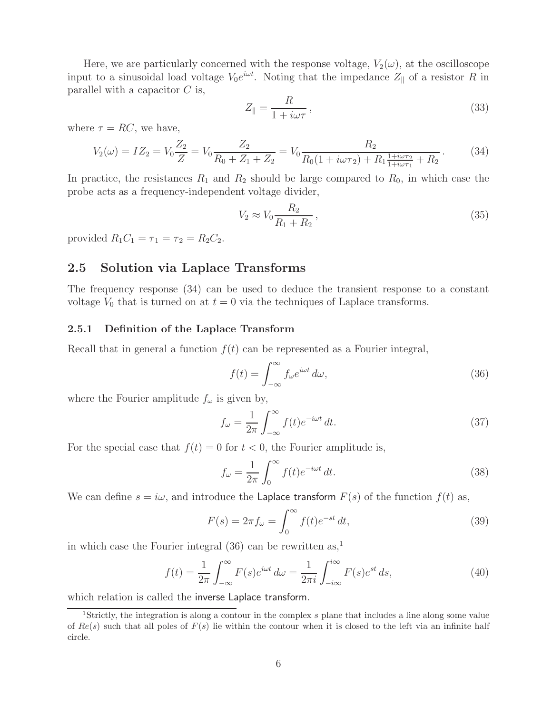Here, we are particularly concerned with the response voltage,  $V_2(\omega)$ , at the oscilloscope input to a sinusoidal load voltage  $V_0e^{i\omega t}$ . Noting that the impedance  $Z_{\parallel}$  of a resistor R in parallel with a capacitor  $C$  is,

$$
Z_{\parallel} = \frac{R}{1 + i\omega\tau},\tag{33}
$$

where  $\tau = RC$ , we have,

$$
V_2(\omega) = IZ_2 = V_0 \frac{Z_2}{Z} = V_0 \frac{Z_2}{R_0 + Z_1 + Z_2} = V_0 \frac{R_2}{R_0(1 + i\omega\tau_2) + R_1 \frac{1 + i\omega\tau_2}{1 + i\omega\tau_1} + R_2}.
$$
(34)

In practice, the resistances  $R_1$  and  $R_2$  should be large compared to  $R_0$ , in which case the probe acts as a frequency-independent voltage divider,

$$
V_2 \approx V_0 \frac{R_2}{R_1 + R_2},\tag{35}
$$

provided  $R_1C_1 = \tau_1 = \tau_2 = R_2C_2$ .

### **2.5 Solution via Laplace Transforms**

The frequency response (34) can be used to deduce the transient response to a constant voltage  $V_0$  that is turned on at  $t = 0$  via the techniques of Laplace transforms.

#### **2.5.1 Definition of the Laplace Transform**

Recall that in general a function  $f(t)$  can be represented as a Fourier integral,

$$
f(t) = \int_{-\infty}^{\infty} f_{\omega} e^{i\omega t} d\omega,
$$
\n(36)

where the Fourier amplitude  $f_{\omega}$  is given by,

$$
f_{\omega} = \frac{1}{2\pi} \int_{-\infty}^{\infty} f(t)e^{-i\omega t} dt.
$$
 (37)

For the special case that  $f(t) = 0$  for  $t < 0$ , the Fourier amplitude is,

$$
f_{\omega} = \frac{1}{2\pi} \int_0^{\infty} f(t)e^{-i\omega t} dt.
$$
 (38)

We can define  $s = i\omega$ , and introduce the Laplace transform  $F(s)$  of the function  $f(t)$  as,

$$
F(s) = 2\pi f_{\omega} = \int_0^{\infty} f(t)e^{-st} dt,
$$
\n(39)

in which case the Fourier integral  $(36)$  can be rewritten as,<sup>1</sup>

$$
f(t) = \frac{1}{2\pi} \int_{-\infty}^{\infty} F(s)e^{i\omega t} d\omega = \frac{1}{2\pi i} \int_{-i\infty}^{i\infty} F(s)e^{st} ds,
$$
 (40)

which relation is called the inverse Laplace transform.

<sup>1</sup>Strictly, the integration is along a contour in the complex *s* plane that includes a line along some value of *Re*(*s*) such that all poles of *F*(*s*) lie within the contour when it is closed to the left via an infinite half circle.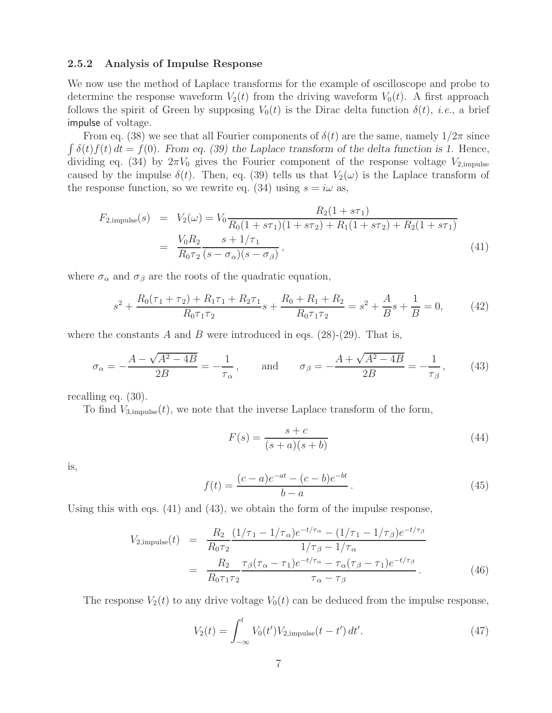#### **2.5.2 Analysis of Impulse Response**

We now use the method of Laplace transforms for the example of oscilloscope and probe to determine the response waveform  $V_2(t)$  from the driving waveform  $V_0(t)$ . A first approach follows the spirit of Green by supposing  $V_0(t)$  is the Dirac delta function  $\delta(t)$ , *i.e.*, a brief impulse of voltage.

From eq. (38) we see that all Fourier components of  $\delta(t)$  are the same, namely  $1/2\pi$  since  $\int \delta(t) f(t) dt = f(0)$ . From eq. (39) the Laplace transform of the delta function is 1. Hence, dividing eq. (34) by  $2\pi V_0$  gives the Fourier component of the response voltage  $V_{2,\text{impulse}}$ caused by the impulse  $\delta(t)$ . Then, eq. (39) tells us that  $V_2(\omega)$  is the Laplace transform of the response function, so we rewrite eq. (34) using  $s = i\omega$  as,

$$
F_{2,\text{impulse}}(s) = V_2(\omega) = V_0 \frac{R_2(1 + s\tau_1)}{R_0(1 + s\tau_1)(1 + s\tau_2) + R_1(1 + s\tau_2) + R_2(1 + s\tau_1)}
$$
  
= 
$$
\frac{V_0 R_2}{R_0 \tau_2} \frac{s + 1/\tau_1}{(s - \sigma_\alpha)(s - \sigma_\beta)},
$$
(41)

where  $\sigma_{\alpha}$  and  $\sigma_{\beta}$  are the roots of the quadratic equation,

$$
s^{2} + \frac{R_{0}(\tau_{1} + \tau_{2}) + R_{1}\tau_{1} + R_{2}\tau_{1}}{R_{0}\tau_{1}\tau_{2}}s + \frac{R_{0} + R_{1} + R_{2}}{R_{0}\tau_{1}\tau_{2}} = s^{2} + \frac{A}{B}s + \frac{1}{B} = 0,
$$
 (42)

where the constants A and B were introduced in eqs.  $(28)-(29)$ . That is,

$$
\sigma_{\alpha} = -\frac{A - \sqrt{A^2 - 4B}}{2B} = -\frac{1}{\tau_{\alpha}}, \quad \text{and} \quad \sigma_{\beta} = -\frac{A + \sqrt{A^2 - 4B}}{2B} = -\frac{1}{\tau_{\beta}}, \quad (43)
$$

recalling eq. (30).

To find  $V_{3,impulse}(t)$ , we note that the inverse Laplace transform of the form,

$$
F(s) = \frac{s+c}{(s+a)(s+b)}
$$
\n
$$
(44)
$$

is,

$$
f(t) = \frac{(c-a)e^{-at} - (c-b)e^{-bt}}{b-a}.
$$
\n(45)

Using this with eqs. (41) and (43), we obtain the form of the impulse response,

$$
V_{2,\text{impulse}}(t) = \frac{R_2}{R_0 \tau_2} \frac{(1/\tau_1 - 1/\tau_\alpha)e^{-t/\tau_\alpha} - (1/\tau_1 - 1/\tau_\beta)e^{-t/\tau_\beta}}{1/\tau_\beta - 1/\tau_\alpha}
$$
  
= 
$$
\frac{R_2}{R_0 \tau_1 \tau_2} \frac{\tau_\beta(\tau_\alpha - \tau_1)e^{-t/\tau_\alpha} - \tau_\alpha(\tau_\beta - \tau_1)e^{-t/\tau_\beta}}{\tau_\alpha - \tau_\beta}.
$$
 (46)

The response  $V_2(t)$  to any drive voltage  $V_0(t)$  can be deduced from the impulse response,

$$
V_2(t) = \int_{-\infty}^t V_0(t') V_{2,\text{impulse}}(t - t') dt'. \tag{47}
$$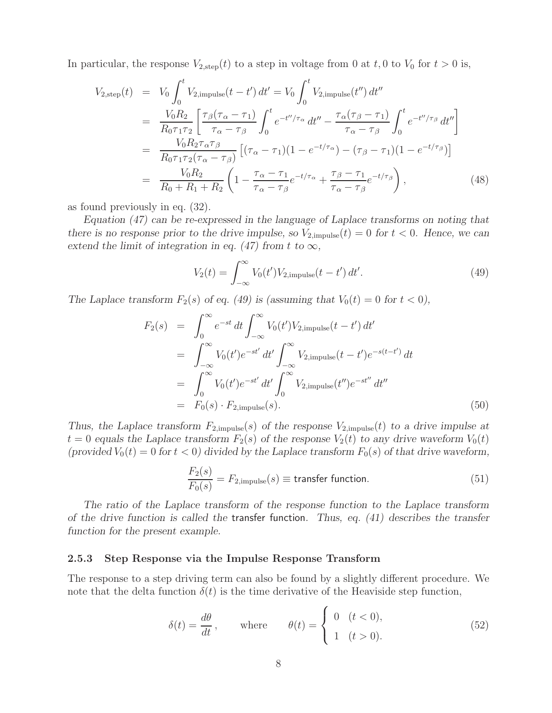In particular, the response  $V_{2,\text{step}}(t)$  to a step in voltage from 0 at  $t$ , 0 to  $V_0$  for  $t > 0$  is,

$$
V_{2,\text{step}}(t) = V_0 \int_0^t V_{2,\text{impulse}}(t - t') dt' = V_0 \int_0^t V_{2,\text{impulse}}(t'') dt''
$$
  
\n
$$
= \frac{V_0 R_2}{R_0 \tau_1 \tau_2} \left[ \frac{\tau_\beta (\tau_\alpha - \tau_1)}{\tau_\alpha - \tau_\beta} \int_0^t e^{-t''/\tau_\alpha} dt'' - \frac{\tau_\alpha (\tau_\beta - \tau_1)}{\tau_\alpha - \tau_\beta} \int_0^t e^{-t''/\tau_\beta} dt'' \right]
$$
  
\n
$$
= \frac{V_0 R_2 \tau_\alpha \tau_\beta}{R_0 \tau_1 \tau_2 (\tau_\alpha - \tau_\beta)} \left[ (\tau_\alpha - \tau_1)(1 - e^{-t/\tau_\alpha}) - (\tau_\beta - \tau_1)(1 - e^{-t/\tau_\beta}) \right]
$$
  
\n
$$
= \frac{V_0 R_2}{R_0 + R_1 + R_2} \left( 1 - \frac{\tau_\alpha - \tau_1}{\tau_\alpha - \tau_\beta} e^{-t/\tau_\alpha} + \frac{\tau_\beta - \tau_1}{\tau_\alpha - \tau_\beta} e^{-t/\tau_\beta} \right), \tag{48}
$$

as found previously in eq. (32).

*Equation (47) can be re-expressed in the language of Laplace transforms on noting that there is no response prior to the drive impulse, so*  $V_{2,impulse}(t)=0$  *for*  $t < 0$ *. Hence, we can extend the limit of integration in eq. (47) from t to*  $\infty$ *,* 

$$
V_2(t) = \int_{-\infty}^{\infty} V_0(t') V_{2,\text{impulse}}(t - t') dt'.
$$
 (49)

*The Laplace transform*  $F_2(s)$  *of eq. (49) is (assuming that*  $V_0(t) = 0$  *for*  $t < 0$ *),* 

$$
F_2(s) = \int_0^\infty e^{-st} dt \int_{-\infty}^\infty V_0(t') V_{2, \text{impulse}}(t - t') dt'
$$
  
\n
$$
= \int_{-\infty}^\infty V_0(t') e^{-st'} dt' \int_{-\infty}^\infty V_{2, \text{impulse}}(t - t') e^{-s(t - t')} dt
$$
  
\n
$$
= \int_0^\infty V_0(t') e^{-st'} dt' \int_0^\infty V_{2, \text{impulse}}(t'') e^{-st''} dt''
$$
  
\n
$$
= F_0(s) \cdot F_{2, \text{impulse}}(s).
$$
 (50)

*Thus, the Laplace transform*  $F_{2,impulse}(s)$  *of the response*  $V_{2,impulse}(t)$  *to a drive impulse at*  $t = 0$  equals the Laplace transform  $F_2(s)$  of the response  $V_2(t)$  to any drive waveform  $V_0(t)$ (provided  $V_0(t)=0$  for  $t < 0$ ) divided by the Laplace transform  $F_0(s)$  of that drive waveform,

$$
\frac{F_2(s)}{F_0(s)} = F_{2,\text{impulse}}(s) \equiv \text{transfer function.}
$$
\n(51)

*The ratio of the Laplace transform of the response function to the Laplace transform of the drive function is called the* transfer function*. Thus, eq. (41) describes the transfer function for the present example.*

#### **2.5.3 Step Response via the Impulse Response Transform**

The response to a step driving term can also be found by a slightly different procedure. We note that the delta function  $\delta(t)$  is the time derivative of the Heaviside step function,

$$
\delta(t) = \frac{d\theta}{dt}, \quad \text{where} \quad \theta(t) = \begin{cases} 0 & (t < 0), \\ 1 & (t > 0). \end{cases} \tag{52}
$$